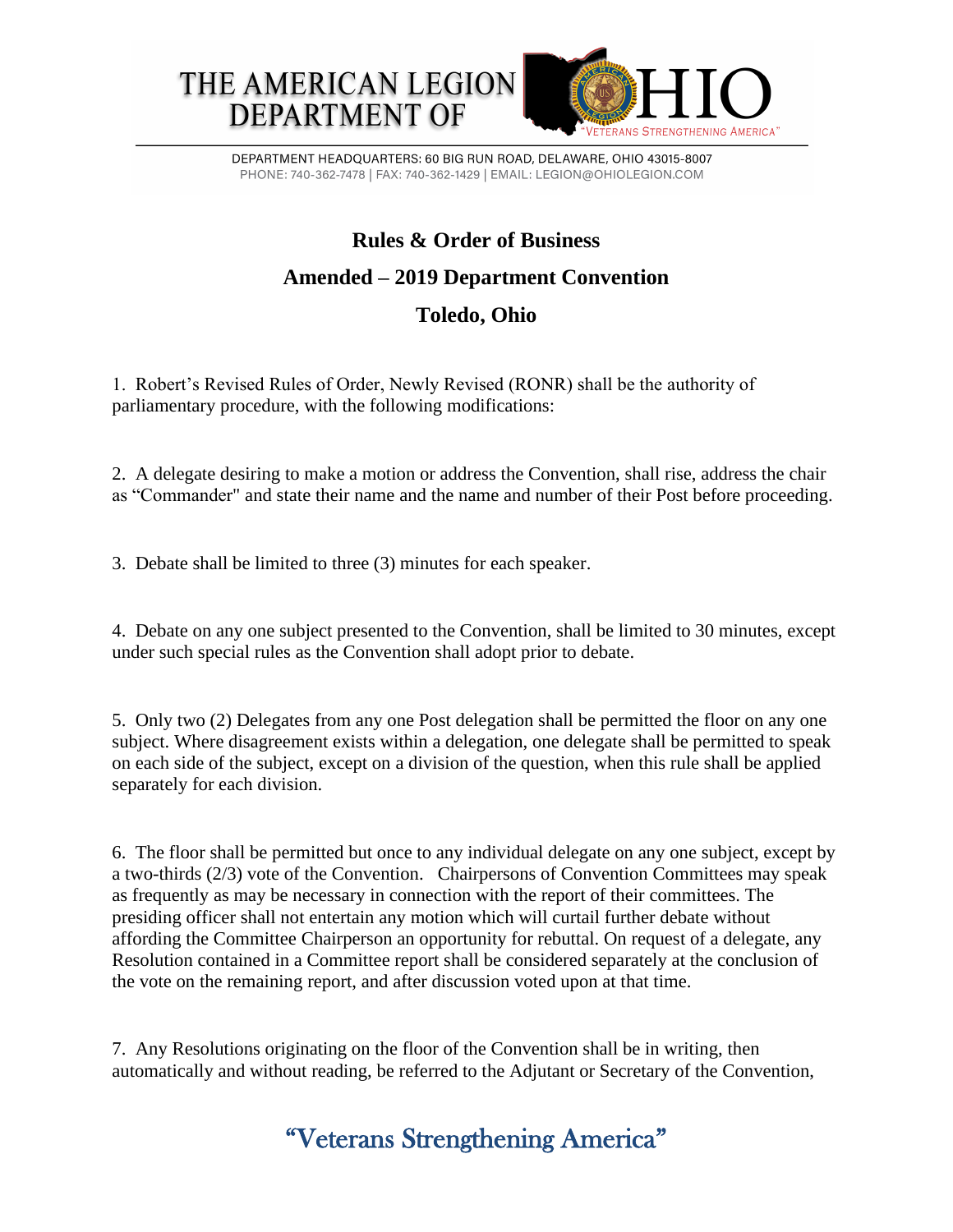## **Rules & Order of Business Amended – 2019 Department Convention Toledo, Ohio**

1. Robert's Revised Rules of Order, Newly Revised (RONR) shall be the authority of parliamentary procedure, with the following modifications:

2. A delegate desiring to make a motion or address the Convention, shall rise, address the chair as "Commander" and state their name and the name and number of their Post before proceeding.

3. Debate shall be limited to three (3) minutes for each speaker.

4. Debate on any one subject presented to the Convention, shall be limited to 30 minutes, except under such special rules as the Convention shall adopt prior to debate.

5. Only two (2) Delegates from any one Post delegation shall be permitted the floor on any one subject. Where disagreement exists within a delegation, one delegate shall be permitted to speak on each side of the subject, except on a division of the question, when this rule shall be applied separately for each division.

6. The floor shall be permitted but once to any individual delegate on any one subject, except by a two-thirds (2/3) vote of the Convention. Chairpersons of Convention Committees may speak as frequently as may be necessary in connection with the report of their committees. The presiding officer shall not entertain any motion which will curtail further debate without affording the Committee Chairperson an opportunity for rebuttal. On request of a delegate, any Resolution contained in a Committee report shall be considered separately at the conclusion of the vote on the remaining report, and after discussion voted upon at that time.

7. Any Resolutions originating on the floor of the Convention shall be in writing, then automatically and without reading, be referred to the Adjutant or Secretary of the Convention,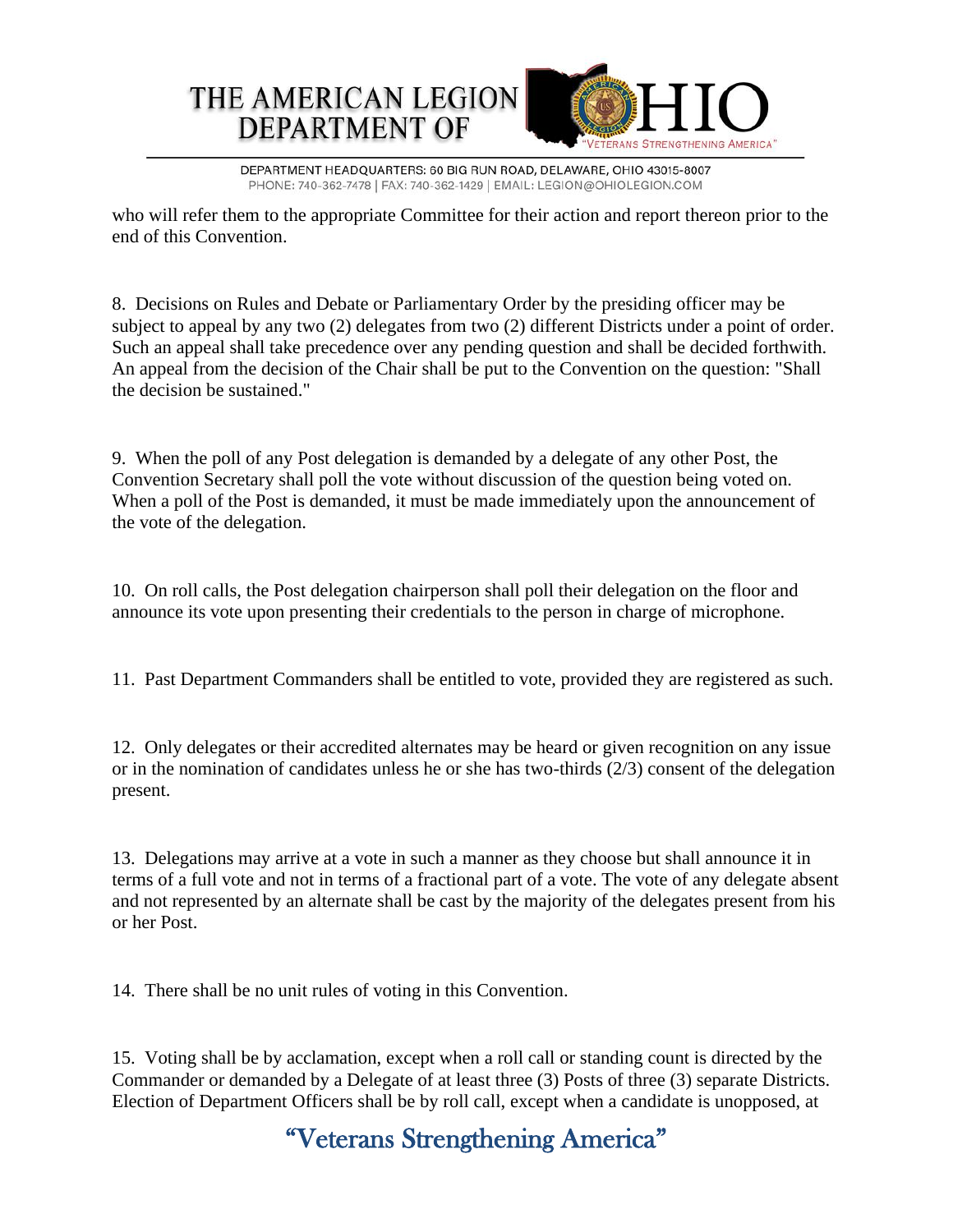

DEPARTMENT HEADQUARTERS: 60 BIG RUN ROAD, DELAWARE, OHIO 43015-8007 PHONE: 740-362-7478 | FAX: 740-362-1429 | EMAIL: LEGION@OHIOLEGION.COM

who will refer them to the appropriate Committee for their action and report thereon prior to the end of this Convention.

8. Decisions on Rules and Debate or Parliamentary Order by the presiding officer may be subject to appeal by any two (2) delegates from two (2) different Districts under a point of order. Such an appeal shall take precedence over any pending question and shall be decided forthwith. An appeal from the decision of the Chair shall be put to the Convention on the question: "Shall the decision be sustained."

9. When the poll of any Post delegation is demanded by a delegate of any other Post, the Convention Secretary shall poll the vote without discussion of the question being voted on. When a poll of the Post is demanded, it must be made immediately upon the announcement of the vote of the delegation.

10. On roll calls, the Post delegation chairperson shall poll their delegation on the floor and announce its vote upon presenting their credentials to the person in charge of microphone.

11. Past Department Commanders shall be entitled to vote, provided they are registered as such.

12. Only delegates or their accredited alternates may be heard or given recognition on any issue or in the nomination of candidates unless he or she has two-thirds (2/3) consent of the delegation present.

13. Delegations may arrive at a vote in such a manner as they choose but shall announce it in terms of a full vote and not in terms of a fractional part of a vote. The vote of any delegate absent and not represented by an alternate shall be cast by the majority of the delegates present from his or her Post.

14. There shall be no unit rules of voting in this Convention.

15. Voting shall be by acclamation, except when a roll call or standing count is directed by the Commander or demanded by a Delegate of at least three (3) Posts of three (3) separate Districts. Election of Department Officers shall be by roll call, except when a candidate is unopposed, at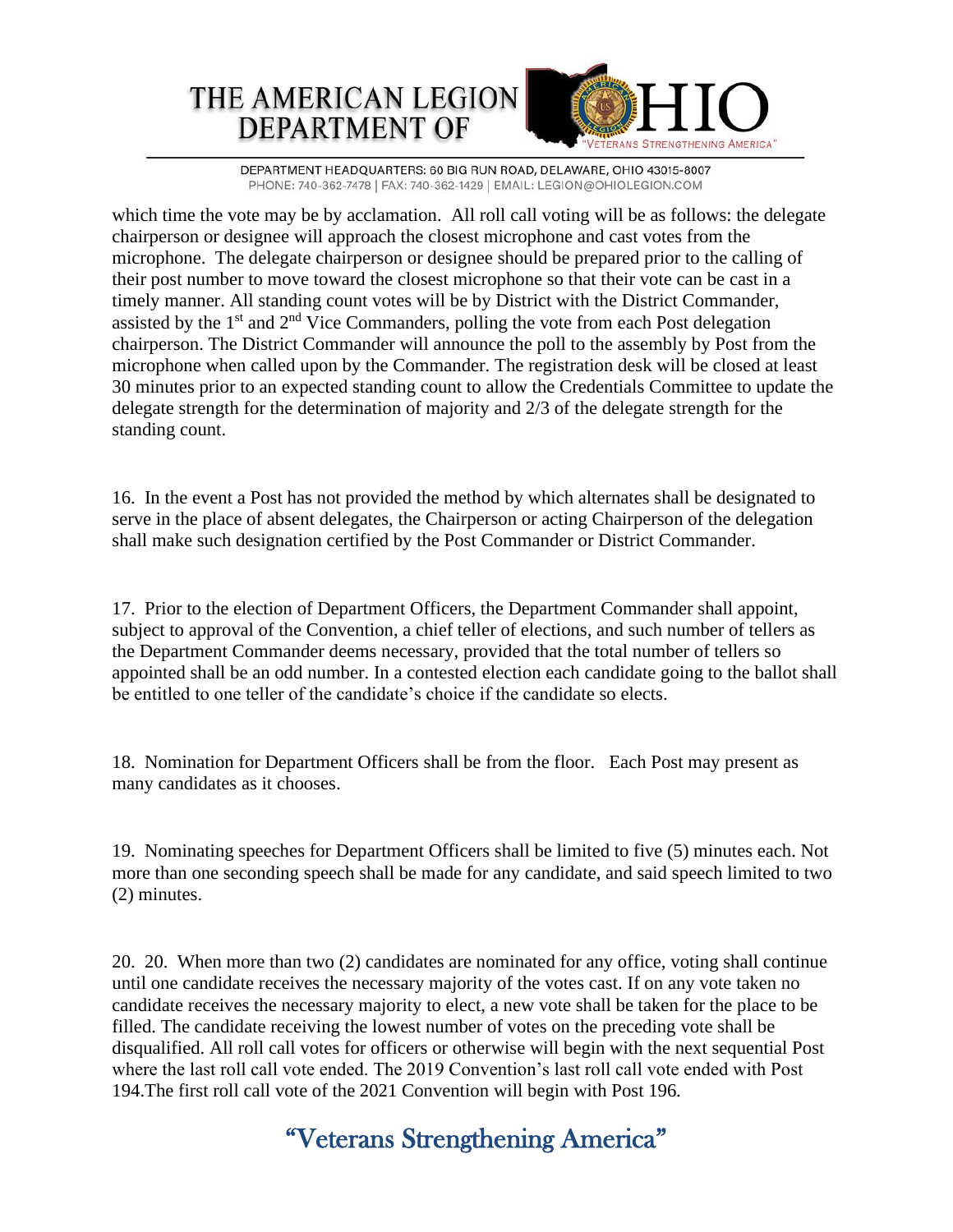

DEPARTMENT HEADQUARTERS: 60 BIG RUN ROAD, DELAWARE, OHIO 43015-8007 PHONE: 740-362-7478 | FAX: 740-362-1429 | EMAIL: LEGION@OHIOLEGION.COM

which time the vote may be by acclamation. All roll call voting will be as follows: the delegate chairperson or designee will approach the closest microphone and cast votes from the microphone. The delegate chairperson or designee should be prepared prior to the calling of their post number to move toward the closest microphone so that their vote can be cast in a timely manner. All standing count votes will be by District with the District Commander, assisted by the  $1<sup>st</sup>$  and  $2<sup>nd</sup>$  Vice Commanders, polling the vote from each Post delegation chairperson. The District Commander will announce the poll to the assembly by Post from the microphone when called upon by the Commander. The registration desk will be closed at least 30 minutes prior to an expected standing count to allow the Credentials Committee to update the delegate strength for the determination of majority and 2/3 of the delegate strength for the standing count.

16. In the event a Post has not provided the method by which alternates shall be designated to serve in the place of absent delegates, the Chairperson or acting Chairperson of the delegation shall make such designation certified by the Post Commander or District Commander.

17. Prior to the election of Department Officers, the Department Commander shall appoint, subject to approval of the Convention, a chief teller of elections, and such number of tellers as the Department Commander deems necessary, provided that the total number of tellers so appointed shall be an odd number. In a contested election each candidate going to the ballot shall be entitled to one teller of the candidate's choice if the candidate so elects.

18. Nomination for Department Officers shall be from the floor. Each Post may present as many candidates as it chooses.

19. Nominating speeches for Department Officers shall be limited to five (5) minutes each. Not more than one seconding speech shall be made for any candidate, and said speech limited to two (2) minutes.

20. 20. When more than two (2) candidates are nominated for any office, voting shall continue until one candidate receives the necessary majority of the votes cast. If on any vote taken no candidate receives the necessary majority to elect, a new vote shall be taken for the place to be filled. The candidate receiving the lowest number of votes on the preceding vote shall be disqualified. All roll call votes for officers or otherwise will begin with the next sequential Post where the last roll call vote ended. The 2019 Convention's last roll call vote ended with Post 194.The first roll call vote of the 2021 Convention will begin with Post 196.